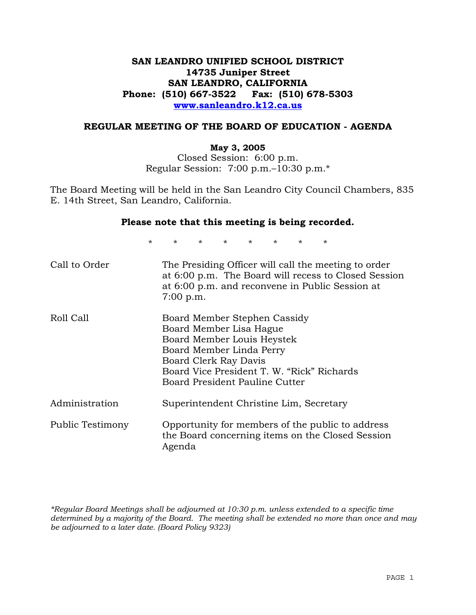# **SAN LEANDRO UNIFIED SCHOOL DISTRICT 14735 Juniper Street SAN LEANDRO, CALIFORNIA Phone: (510) 667-3522 Fax: (510) 678-5303 www.sanleandro.k12.ca.us**

## **REGULAR MEETING OF THE BOARD OF EDUCATION - AGENDA**

### **May 3, 2005**

Closed Session: 6:00 p.m. Regular Session: 7:00 p.m.–10:30 p.m.\*

The Board Meeting will be held in the San Leandro City Council Chambers, 835 E. 14th Street, San Leandro, California.

### **Please note that this meeting is being recorded.**

\* \* \* \* \* \* \* \* Call to Order The Presiding Officer will call the meeting to order at 6:00 p.m. The Board will recess to Closed Session at 6:00 p.m. and reconvene in Public Session at 7:00 p.m. Roll Call Board Member Stephen Cassidy Board Member Lisa Hague Board Member Louis Heystek Board Member Linda Perry Board Clerk Ray Davis Board Vice President T. W. "Rick" Richards Board President Pauline Cutter Administration Superintendent Christine Lim, Secretary Public Testimony Opportunity for members of the public to address the Board concerning items on the Closed Session Agenda

*\*Regular Board Meetings shall be adjourned at 10:30 p.m. unless extended to a specific time determined by a majority of the Board. The meeting shall be extended no more than once and may be adjourned to a later date. (Board Policy 9323)*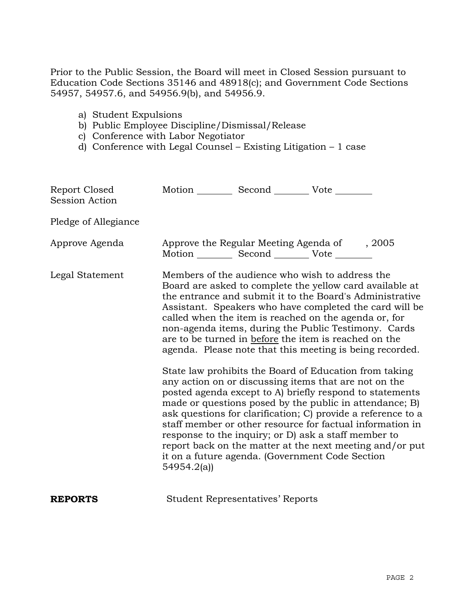Prior to the Public Session, the Board will meet in Closed Session pursuant to Education Code Sections 35146 and 48918(c); and Government Code Sections 54957, 54957.6, and 54956.9(b), and 54956.9.

- a) Student Expulsions
- b) Public Employee Discipline/Dismissal/Release
- c) Conference with Labor Negotiator
- d) Conference with Legal Counsel Existing Litigation 1 case

| Report Closed<br>Session Action |            | Motion __________ Second __________ Vote ________ |                                                                                                                                                                                                                                                                                                                                                                                                                                                                                                                                                                                                                                                                                                                                                                                                                                                                                                                                                                                                                        |
|---------------------------------|------------|---------------------------------------------------|------------------------------------------------------------------------------------------------------------------------------------------------------------------------------------------------------------------------------------------------------------------------------------------------------------------------------------------------------------------------------------------------------------------------------------------------------------------------------------------------------------------------------------------------------------------------------------------------------------------------------------------------------------------------------------------------------------------------------------------------------------------------------------------------------------------------------------------------------------------------------------------------------------------------------------------------------------------------------------------------------------------------|
| Pledge of Allegiance            |            |                                                   |                                                                                                                                                                                                                                                                                                                                                                                                                                                                                                                                                                                                                                                                                                                                                                                                                                                                                                                                                                                                                        |
| Approve Agenda                  |            | Motion __________ Second __________ Vote ________ | Approve the Regular Meeting Agenda of , 2005                                                                                                                                                                                                                                                                                                                                                                                                                                                                                                                                                                                                                                                                                                                                                                                                                                                                                                                                                                           |
| Legal Statement                 | 54954.2(a) |                                                   | Members of the audience who wish to address the<br>Board are asked to complete the yellow card available at<br>the entrance and submit it to the Board's Administrative<br>Assistant. Speakers who have completed the card will be<br>called when the item is reached on the agenda or, for<br>non-agenda items, during the Public Testimony. Cards<br>are to be turned in before the item is reached on the<br>agenda. Please note that this meeting is being recorded.<br>State law prohibits the Board of Education from taking<br>any action on or discussing items that are not on the<br>posted agenda except to A) briefly respond to statements<br>made or questions posed by the public in attendance; B)<br>ask questions for clarification; C) provide a reference to a<br>staff member or other resource for factual information in<br>response to the inquiry; or D) ask a staff member to<br>report back on the matter at the next meeting and/or put<br>it on a future agenda. (Government Code Section |
| <b>REPORTS</b>                  |            | <b>Student Representatives' Reports</b>           |                                                                                                                                                                                                                                                                                                                                                                                                                                                                                                                                                                                                                                                                                                                                                                                                                                                                                                                                                                                                                        |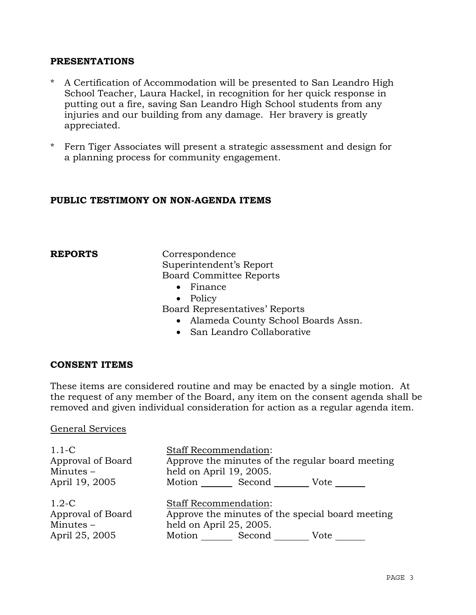## **PRESENTATIONS**

- \* A Certification of Accommodation will be presented to San Leandro High School Teacher, Laura Hackel, in recognition for her quick response in putting out a fire, saving San Leandro High School students from any injuries and our building from any damage. Her bravery is greatly appreciated.
- \* Fern Tiger Associates will present a strategic assessment and design for a planning process for community engagement.

## **PUBLIC TESTIMONY ON NON-AGENDA ITEMS**

**REPORTS** Correspondence Superintendent's Report Board Committee Reports

- Finance
- Policy

Board Representatives' Reports

- Alameda County School Boards Assn.
- San Leandro Collaborative

## **CONSENT ITEMS**

These items are considered routine and may be enacted by a single motion. At the request of any member of the Board, any item on the consent agenda shall be removed and given individual consideration for action as a regular agenda item.

### General Services

| $1.1-C$<br>Approval of Board<br>Minutes $-$<br>April 19, 2005 | <b>Staff Recommendation:</b><br>Approve the minutes of the regular board meeting<br>held on April 19, 2005.<br>Motion _________ Second ________<br>$Vote$ <sub>____</sub> |
|---------------------------------------------------------------|---------------------------------------------------------------------------------------------------------------------------------------------------------------------------|
| $1.2-C$<br>Approval of Board<br>$Minutes -$<br>April 25, 2005 | <b>Staff Recommendation:</b><br>Approve the minutes of the special board meeting<br>held on April 25, 2005.<br>Motion Second<br>Vote                                      |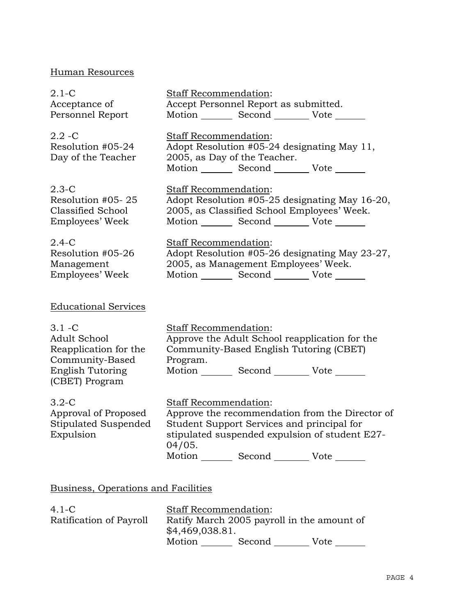# Human Resources

| $2.1 - C$                                                                                                          | Staff Recommendation:                                                                                                                                                                                                                 |
|--------------------------------------------------------------------------------------------------------------------|---------------------------------------------------------------------------------------------------------------------------------------------------------------------------------------------------------------------------------------|
| Acceptance of                                                                                                      | Accept Personnel Report as submitted.                                                                                                                                                                                                 |
| Personnel Report                                                                                                   | Motion _________ Second __________ Vote _______                                                                                                                                                                                       |
| $2.2 - C$<br>Resolution #05-24<br>Day of the Teacher                                                               | Staff Recommendation:<br>Adopt Resolution #05-24 designating May 11,<br>2005, as Day of the Teacher.<br>Motion Second Vote                                                                                                            |
| $2.3-C$<br>Resolution #05-25<br>Classified School<br>Employees' Week                                               | Staff Recommendation:<br>Adopt Resolution #05-25 designating May 16-20,<br>2005, as Classified School Employees' Week.<br>Motion _________ Second ___________ Vote _______                                                            |
| $2.4-C$<br>Resolution #05-26<br>Management<br>Employees' Week                                                      | <b>Staff Recommendation:</b><br>Adopt Resolution #05-26 designating May 23-27,<br>2005, as Management Employees' Week.<br>Motion _________ Second __________ Vote _______                                                             |
| <b>Educational Services</b>                                                                                        |                                                                                                                                                                                                                                       |
| $3.1 - C$<br>Adult School<br>Reapplication for the<br>Community-Based<br><b>English Tutoring</b><br>(CBET) Program | Staff Recommendation:<br>Approve the Adult School reapplication for the<br>Community-Based English Tutoring (CBET)<br>Program.<br>Motion _________ Second __________ Vote _______                                                     |
| $3.2 - C$<br>Approval of Proposed<br>Stipulated Suspended<br>Expulsion                                             | Staff Recommendation:<br>Approve the recommendation from the Director of<br>Student Support Services and principal for<br>stipulated suspended expulsion of student E27-<br>04/05.<br>Motion _________ Second __________ Vote _______ |
| Business, Operations and Facilities                                                                                |                                                                                                                                                                                                                                       |
|                                                                                                                    |                                                                                                                                                                                                                                       |

| $4.1-C$                 |                                                               | <b>Staff Recommendation:</b> |      |
|-------------------------|---------------------------------------------------------------|------------------------------|------|
| Ratification of Payroll | Ratify March 2005 payroll in the amount of<br>\$4,469,038.81. |                              |      |
|                         | Motion                                                        | Second                       | Vote |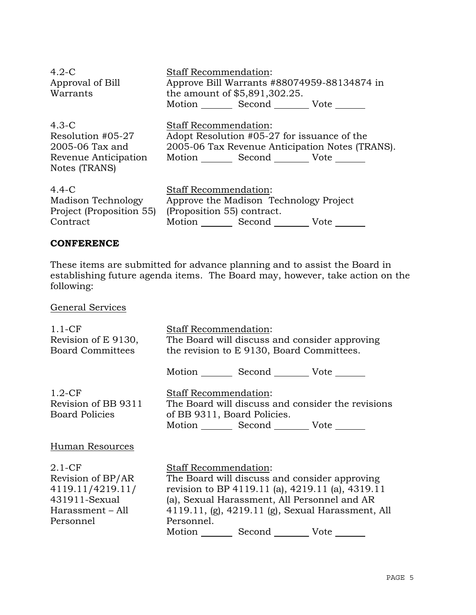| $4.2-C$<br>Approval of Bill<br>Warrants                                                    | <b>Staff Recommendation:</b><br>Approve Bill Warrants #88074959-88134874 in<br>the amount of \$5,891,302.25.<br>Motion Second Vote                   |
|--------------------------------------------------------------------------------------------|------------------------------------------------------------------------------------------------------------------------------------------------------|
| $4.3 - C$<br>Resolution #05-27<br>2005-06 Tax and<br>Revenue Anticipation<br>Notes (TRANS) | <b>Staff Recommendation:</b><br>Adopt Resolution #05-27 for issuance of the<br>2005-06 Tax Revenue Anticipation Notes (TRANS).<br>Motion Second Vote |
| $4.4 - C$<br>Madison Technology<br>Project (Proposition 55)<br>Contract                    | Staff Recommendation:<br>Approve the Madison Technology Project<br>(Proposition 55) contract.<br>Motion Second<br>Vote                               |

### **CONFERENCE**

These items are submitted for advance planning and to assist the Board in establishing future agenda items. The Board may, however, take action on the following:

General Services

| $1.1-CF$<br>Revision of E 9130,<br>Board Committees                                                 | <b>Staff Recommendation:</b><br>The Board will discuss and consider approving<br>the revision to E 9130, Board Committees.                                                                                                                         |                                                   |
|-----------------------------------------------------------------------------------------------------|----------------------------------------------------------------------------------------------------------------------------------------------------------------------------------------------------------------------------------------------------|---------------------------------------------------|
|                                                                                                     | Motion _________ Second __________ Vote _______                                                                                                                                                                                                    |                                                   |
| $1.2-CF$<br>Revision of BB 9311<br>Board Policies                                                   | Staff Recommendation:<br>of BB 9311, Board Policies.<br>Motion Second Vote                                                                                                                                                                         | The Board will discuss and consider the revisions |
| Human Resources                                                                                     |                                                                                                                                                                                                                                                    |                                                   |
| $2.1-CF$<br>Revision of BP/AR<br>4119.11/4219.11/<br>431911-Sexual<br>Harassment – All<br>Personnel | <b>Staff Recommendation:</b><br>The Board will discuss and consider approving<br>revision to BP 4119.11 (a), 4219.11 (a), 4319.11<br>(a), Sexual Harassment, All Personnel and AR<br>Personnel.<br>Motion _________ Second __________ Vote _______ | 4119.11, (g), 4219.11 (g), Sexual Harassment, All |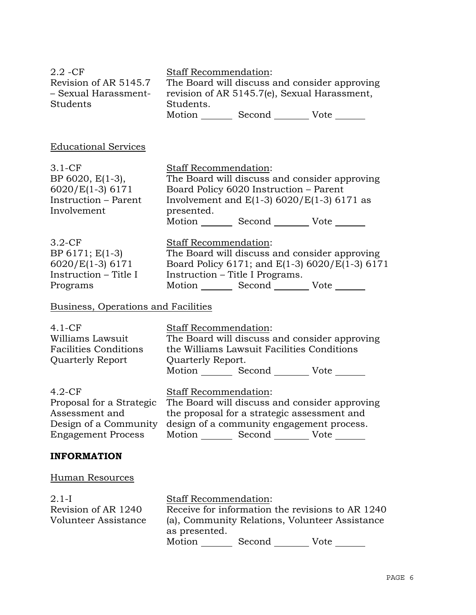| $2.2 - CF$<br>Revision of AR 5145.7<br>- Sexual Harassment-<br>Students                                      | <b>Staff Recommendation:</b><br>The Board will discuss and consider approving<br>revision of AR 5145.7(e), Sexual Harassment,<br>Students.<br>Motion Second Vote                                                                 |
|--------------------------------------------------------------------------------------------------------------|----------------------------------------------------------------------------------------------------------------------------------------------------------------------------------------------------------------------------------|
| <b>Educational Services</b>                                                                                  |                                                                                                                                                                                                                                  |
| $3.1 - CF$<br>BP 6020, E(1-3),<br>$6020/E(1-3)6171$<br>Instruction - Parent<br>Involvement                   | Staff Recommendation:<br>The Board will discuss and consider approving<br>Board Policy 6020 Instruction - Parent<br>Involvement and $E(1-3)$ 6020/E(1-3) 6171 as<br>presented.<br>Motion _________ Second _________ Vote _______ |
| $3.2-CF$<br>BP 6171; E(1-3)<br>6020/E(1-3) 6171<br>Instruction - Title I<br>Programs                         | Staff Recommendation:<br>The Board will discuss and consider approving<br>Board Policy 6171; and E(1-3) 6020/E(1-3) 6171<br>Instruction – Title I Programs.<br>Motion _________ Second ___________ Vote _______                  |
| Business, Operations and Facilities                                                                          |                                                                                                                                                                                                                                  |
| $4.1-CF$<br>Williams Lawsuit<br><b>Facilities Conditions</b><br><b>Quarterly Report</b>                      | <b>Staff Recommendation:</b><br>The Board will discuss and consider approving<br>the Williams Lawsuit Facilities Conditions<br>Quarterly Report.<br>Motion _________ Second __________ Vote _______                              |
| $4.2-CF$<br>Proposal for a Strategic<br>Assessment and<br>Design of a Community<br><b>Engagement Process</b> | Staff Recommendation:<br>The Board will discuss and consider approving<br>the proposal for a strategic assessment and<br>design of a community engagement process.<br>Motion _________ Second __________ Vote _______            |
| <b>INFORMATION</b>                                                                                           |                                                                                                                                                                                                                                  |
| <b>Human Resources</b>                                                                                       |                                                                                                                                                                                                                                  |
| $2.1-I$<br>Revision of AR 1240<br>Volunteer Assistance                                                       | Staff Recommendation:<br>Receive for information the revisions to AR 1240<br>(a), Community Relations, Volunteer Assistance<br>as presented.<br>Motion _________ Second __________ Vote _______                                  |